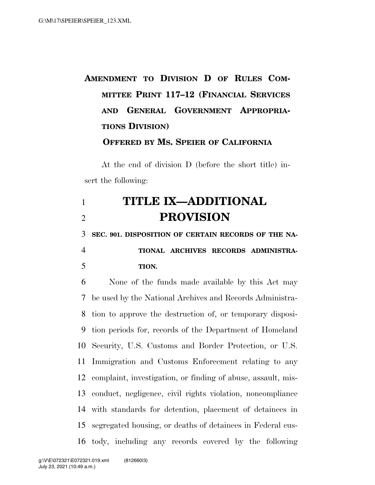## **AMENDMENT TO DIVISION D OF RULES COM-MITTEE PRINT 117–12 (FINANCIAL SERVICES AND GENERAL GOVERNMENT APPROPRIA-TIONS DIVISION)**

**OFFERED BY MS. SPEIER OF CALIFORNIA**

At the end of division D (before the short title) insert the following:

## **TITLE IX—ADDITIONAL PROVISION**

**SEC. 901. DISPOSITION OF CERTAIN RECORDS OF THE NA-**

## **TIONAL ARCHIVES RECORDS ADMINISTRA-TION.**

 None of the funds made available by this Act may be used by the National Archives and Records Administra- tion to approve the destruction of, or temporary disposi- tion periods for, records of the Department of Homeland Security, U.S. Customs and Border Protection, or U.S. Immigration and Customs Enforcement relating to any complaint, investigation, or finding of abuse, assault, mis- conduct, negligence, civil rights violation, noncompliance with standards for detention, placement of detainees in segregated housing, or deaths of detainees in Federal cus-tody, including any records covered by the following